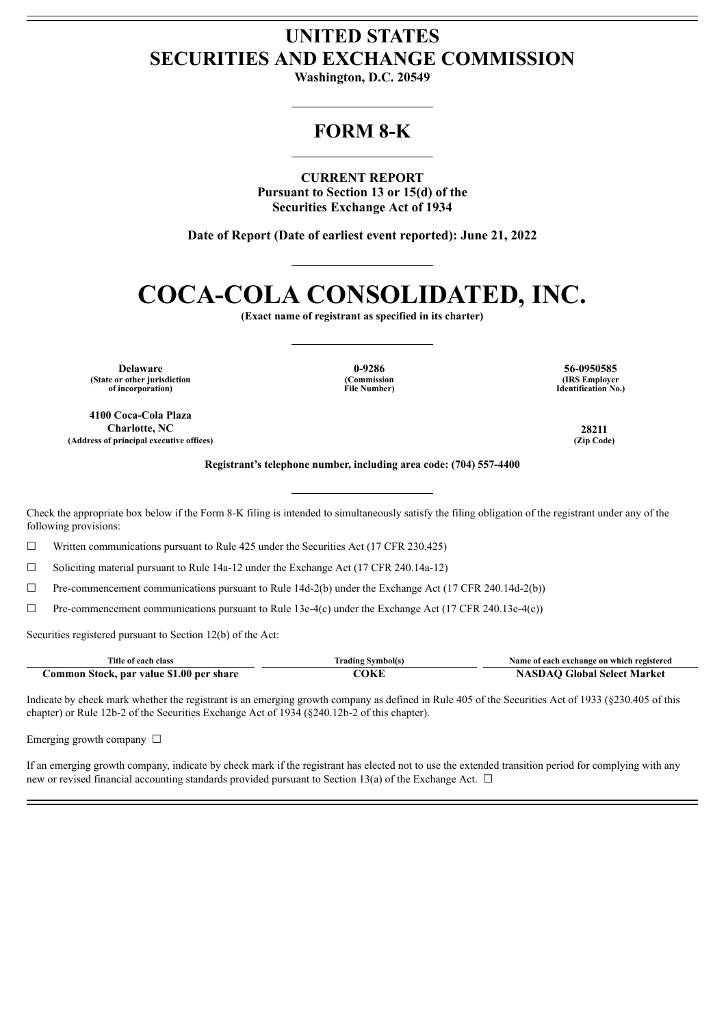## **UNITED STATES SECURITIES AND EXCHANGE COMMISSION**

**Washington, D.C. 20549**

## **FORM 8-K**

**CURRENT REPORT Pursuant to Section 13 or 15(d) of the Securities Exchange Act of 1934**

**Date of Report (Date of earliest event reported): June 21, 2022**

# **COCA-COLA CONSOLIDATED, INC.**

**(Exact name of registrant as specified in its charter)**

**(State or other jurisdiction of incorporation)**

**(Commission File Number)**

**Delaware 0-9286 56-0950585 (IRS Employer Identification No.)**

**4100 Coca-Cola Plaza Charlotte, NC 28211 (Address of principal executive offices) (Zip Code)**

**Registrant's telephone number, including area code: (704) 557-4400**

Check the appropriate box below if the Form 8-K filing is intended to simultaneously satisfy the filing obligation of the registrant under any of the following provisions:

 $\Box$  Written communications pursuant to Rule 425 under the Securities Act (17 CFR 230.425)

☐ Soliciting material pursuant to Rule 14a-12 under the Exchange Act (17 CFR 240.14a-12)

☐ Pre-commencement communications pursuant to Rule 14d-2(b) under the Exchange Act (17 CFR 240.14d-2(b))

 $\Box$  Pre-commencement communications pursuant to Rule 13e-4(c) under the Exchange Act (17 CFR 240.13e-4(c))

Securities registered pursuant to Section 12(b) of the Act:

| Title of each class                      | <b>Trading Symbol(s)</b> | Name of each exchange on which registered |
|------------------------------------------|--------------------------|-------------------------------------------|
| Common Stock, par value \$1.00 per share | COKE                     | <b>NASDAO Global Select Market</b>        |

Indicate by check mark whether the registrant is an emerging growth company as defined in Rule 405 of the Securities Act of 1933 (§230.405 of this chapter) or Rule 12b-2 of the Securities Exchange Act of 1934 (§240.12b-2 of this chapter).

Emerging growth company  $\Box$ 

If an emerging growth company, indicate by check mark if the registrant has elected not to use the extended transition period for complying with any new or revised financial accounting standards provided pursuant to Section 13(a) of the Exchange Act.  $\Box$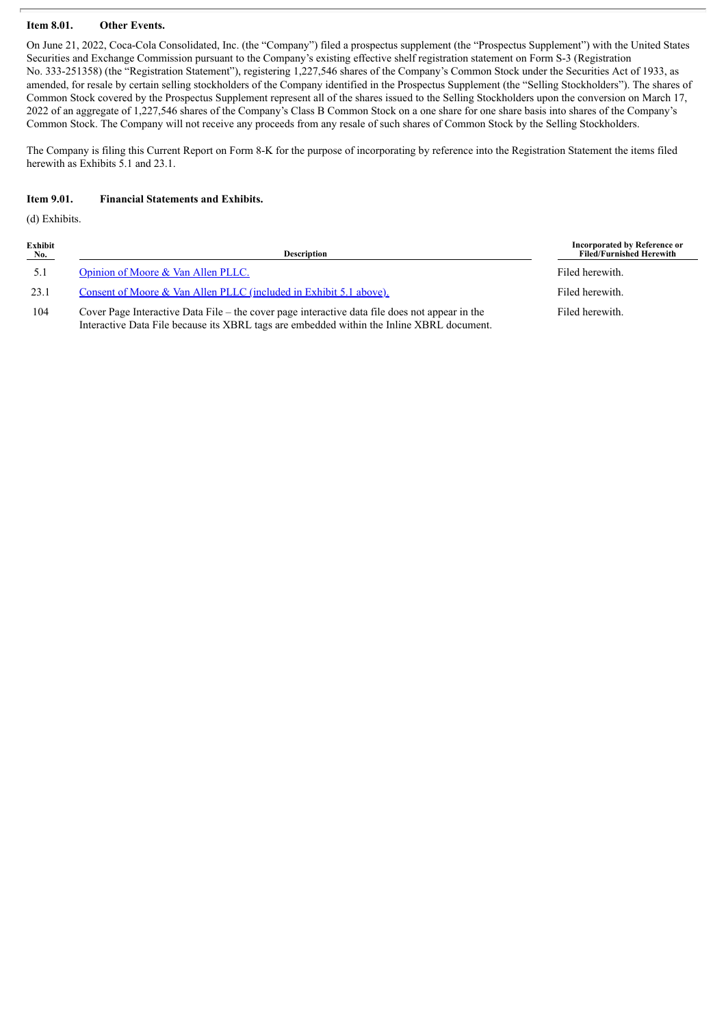#### **Item 8.01. Other Events.**

On June 21, 2022, Coca-Cola Consolidated, Inc. (the "Company") filed a prospectus supplement (the "Prospectus Supplement") with the United States Securities and Exchange Commission pursuant to the Company's existing effective shelf registration statement on Form S-3 (Registration No. 333-251358) (the "Registration Statement"), registering 1,227,546 shares of the Company's Common Stock under the Securities Act of 1933, as amended, for resale by certain selling stockholders of the Company identified in the Prospectus Supplement (the "Selling Stockholders"). The shares of Common Stock covered by the Prospectus Supplement represent all of the shares issued to the Selling Stockholders upon the conversion on March 17, 2022 of an aggregate of 1,227,546 shares of the Company's Class B Common Stock on a one share for one share basis into shares of the Company's Common Stock. The Company will not receive any proceeds from any resale of such shares of Common Stock by the Selling Stockholders.

The Company is filing this Current Report on Form 8-K for the purpose of incorporating by reference into the Registration Statement the items filed herewith as Exhibits 5.1 and 23.1.

#### **Item 9.01. Financial Statements and Exhibits.**

(d) Exhibits.

| Exhibit<br>No. | Description                                                                                                                                                                                 | Incorporated by Reference or<br><b>Filed/Furnished Herewith</b> |
|----------------|---------------------------------------------------------------------------------------------------------------------------------------------------------------------------------------------|-----------------------------------------------------------------|
| 5.1            | Opinion of Moore & Van Allen PLLC.                                                                                                                                                          | Filed herewith.                                                 |
| 23.1           | Consent of Moore & Van Allen PLLC (included in Exhibit 5.1 above).                                                                                                                          | Filed herewith.                                                 |
| 104            | Cover Page Interactive Data File – the cover page interactive data file does not appear in the<br>Interactive Data File because its XBRL tags are embedded within the Inline XBRL document. | Filed herewith.                                                 |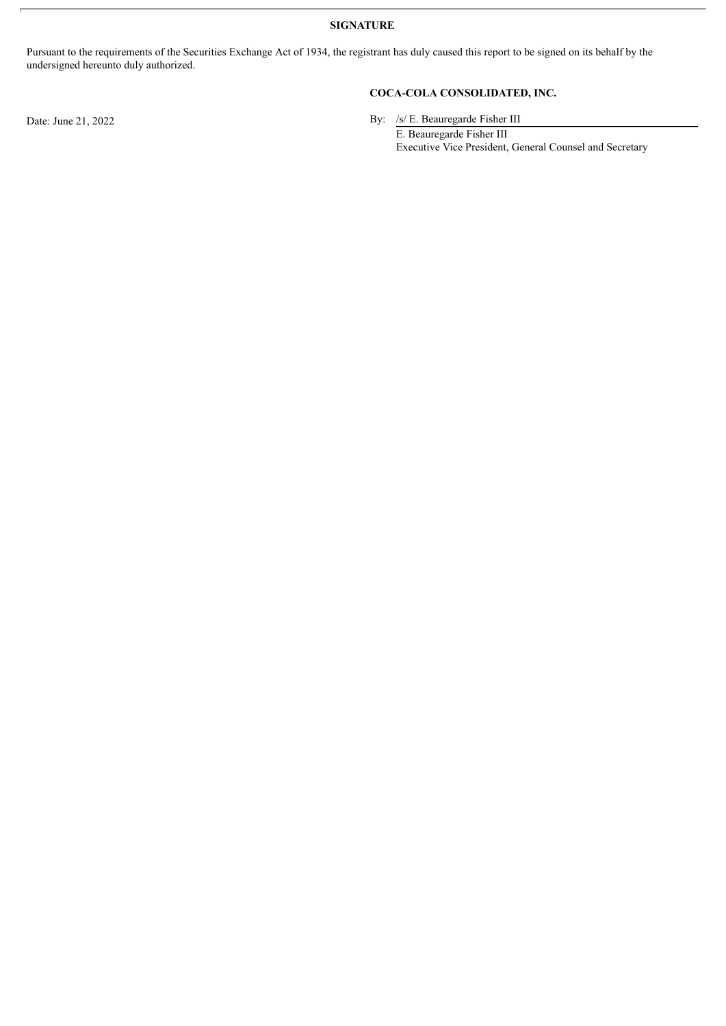**SIGNATURE**

Pursuant to the requirements of the Securities Exchange Act of 1934, the registrant has duly caused this report to be signed on its behalf by the undersigned hereunto duly authorized.

### **COCA-COLA CONSOLIDATED, INC.**

Date: June 21, 2022 By: /s/ E. Beauregarde Fisher III

E. Beauregarde Fisher III Executive Vice President, General Counsel and Secretary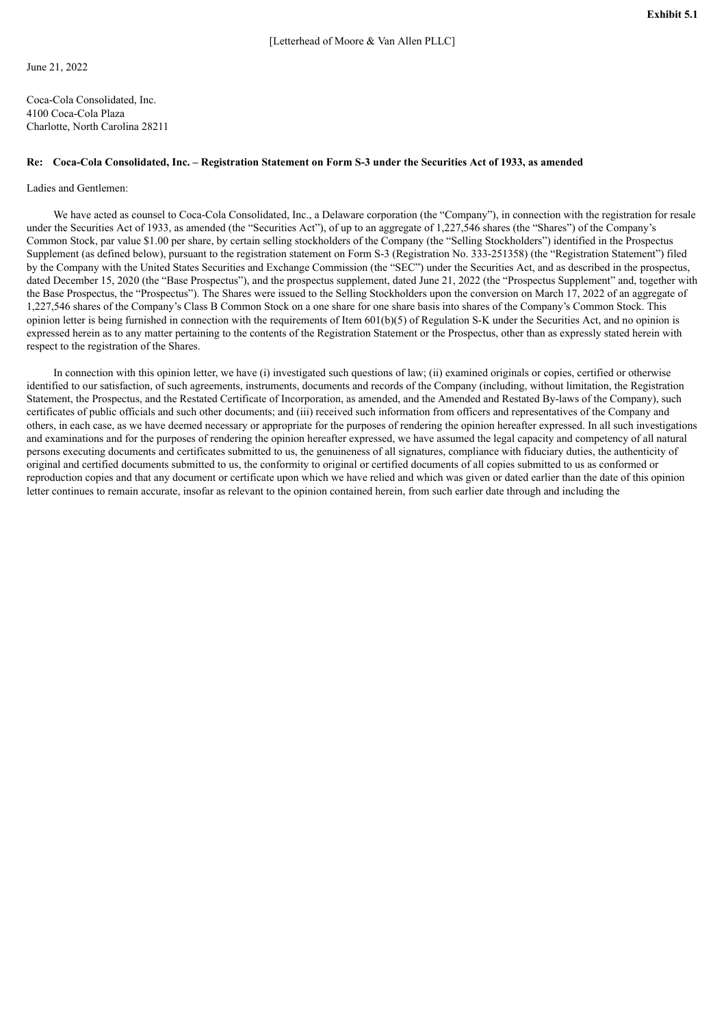<span id="page-3-0"></span>June 21, 2022

Coca-Cola Consolidated, Inc. 4100 Coca-Cola Plaza Charlotte, North Carolina 28211

#### Re: Coca-Cola Consolidated, Inc. - Registration Statement on Form S-3 under the Securities Act of 1933, as amended

#### Ladies and Gentlemen:

We have acted as counsel to Coca-Cola Consolidated, Inc., a Delaware corporation (the "Company"), in connection with the registration for resale under the Securities Act of 1933, as amended (the "Securities Act"), of up to an aggregate of 1,227,546 shares (the "Shares") of the Company's Common Stock, par value \$1.00 per share, by certain selling stockholders of the Company (the "Selling Stockholders") identified in the Prospectus Supplement (as defined below), pursuant to the registration statement on Form S-3 (Registration No. 333-251358) (the "Registration Statement") filed by the Company with the United States Securities and Exchange Commission (the "SEC") under the Securities Act, and as described in the prospectus, dated December 15, 2020 (the "Base Prospectus"), and the prospectus supplement, dated June 21, 2022 (the "Prospectus Supplement" and, together with the Base Prospectus, the "Prospectus"). The Shares were issued to the Selling Stockholders upon the conversion on March 17, 2022 of an aggregate of 1,227,546 shares of the Company's Class B Common Stock on a one share for one share basis into shares of the Company's Common Stock. This opinion letter is being furnished in connection with the requirements of Item  $601(b)(5)$  of Regulation S-K under the Securities Act, and no opinion is expressed herein as to any matter pertaining to the contents of the Registration Statement or the Prospectus, other than as expressly stated herein with respect to the registration of the Shares.

In connection with this opinion letter, we have (i) investigated such questions of law; (ii) examined originals or copies, certified or otherwise identified to our satisfaction, of such agreements, instruments, documents and records of the Company (including, without limitation, the Registration Statement, the Prospectus, and the Restated Certificate of Incorporation, as amended, and the Amended and Restated By-laws of the Company), such certificates of public officials and such other documents; and (iii) received such information from officers and representatives of the Company and others, in each case, as we have deemed necessary or appropriate for the purposes of rendering the opinion hereafter expressed. In all such investigations and examinations and for the purposes of rendering the opinion hereafter expressed, we have assumed the legal capacity and competency of all natural persons executing documents and certificates submitted to us, the genuineness of all signatures, compliance with fiduciary duties, the authenticity of original and certified documents submitted to us, the conformity to original or certified documents of all copies submitted to us as conformed or reproduction copies and that any document or certificate upon which we have relied and which was given or dated earlier than the date of this opinion letter continues to remain accurate, insofar as relevant to the opinion contained herein, from such earlier date through and including the